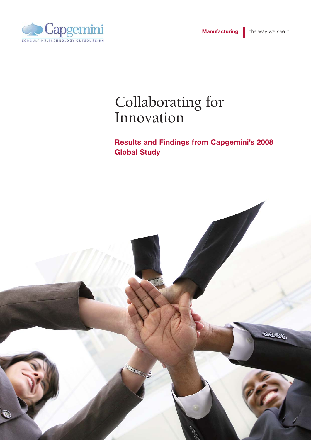

# Collaborating for Innovation

**Results and Findings from Capgemini's 2008 Global Study** 

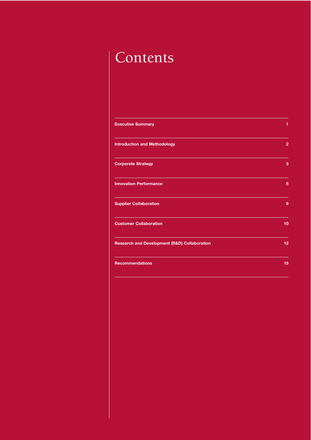# Contents

| <b>Executive Summary</b>                                | 1              |
|---------------------------------------------------------|----------------|
| <b>Introduction and Methodology</b>                     | $\overline{2}$ |
| <b>Corporate Strategy</b>                               | 3              |
| <b>Innovation Performance</b>                           | 6              |
| <b>Supplier Collaboration</b>                           | 9              |
| <b>Customer Collaboration</b>                           | 10             |
| <b>Research and Development (R&amp;D) Collaboration</b> | 12             |
| <b>Recommendations</b>                                  | 15             |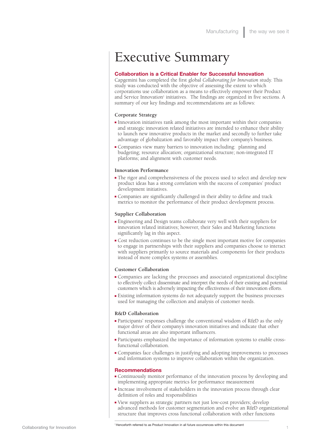# Executive Summary

#### **Collaboration is a Critical Enabler for Successful Innovation**

Capgemini has completed the first global *Collaborating for Innovation* study. This study was conducted with the objective of assessing the extent to which corporations use collaboration as a means to effectively empower their Product and Service Innovation<sup>1</sup> initiatives. The findings are organized in five sections. A summary of our key findings and recommendations are as follows:

#### **Corporate Strategy**

- <sup>n</sup> Innovation initiatives rank among the most important within their companies and strategic innovation related initiatives are intended to enhance their ability to launch new innovative products in the market and secondly to further take advantage of globalization and favorably impact their company's business.
- <sup>n</sup> Companies view many barriers to innovation including: planning and budgeting; resource allocation; organizational structure; non-integrated IT platforms; and alignment with customer needs.

#### **Innovation Performance**

- <sup>n</sup> The rigor and comprehensiveness of the process used to select and develop new product ideas has a strong correlation with the success of companies' product development initiatives.
- <sup>n</sup> Companies are significantly challenged in their ability to define and track metrics to monitor the performance of their product development process.

#### **Supplier Collaboration**

- <sup>n</sup> Engineering and Design teams collaborate very well with their suppliers for innovation related initiatives; however, their Sales and Marketing functions significantly lag in this aspect.
- <sup>n</sup> Cost reduction continues to be the single most important motive for companies to engage in partnerships with their suppliers and companies choose to interact with suppliers primarily to source materials and components for their products instead of more complex systems or assemblies.

#### **Customer Collaboration**

- <sup>n</sup> Companies are lacking the processes and associated organizational discipline to effectively collect disseminate and interpret the needs of their existing and potential customers which is adversely impacting the effectiveness of their innovation efforts.
- <sup>n</sup> Existing information systems do not adequately support the business processes used for managing the collection and analysis of customer needs.

#### **R&D Collaboration**

- <sup>n</sup> Participants' responses challenge the conventional wisdom of R&D as the only major driver of their company's innovation initiatives and indicate that other functional areas are also important influencers.
- <sup>n</sup> Participants emphasized the importance of information systems to enable crossfunctional collaboration.
- <sup>n</sup> Companies face challenges in justifying and adopting improvements to processes and information systems to improve collaboration within the organization.

#### **Recommendations**

- <sup>n</sup> Continuously monitor performance of the innovation process by developing and implementing appropriate metrics for performance measurement
- <sup>n</sup> Increase involvement of stakeholders in the innovation process through clear definition of roles and responsibilities
- <sup>n</sup> View suppliers as strategic partners not just low-cost providers; develop advanced methods for customer segmentation and evolve an R&D organizational structure that improves cross functional collaboration with other functions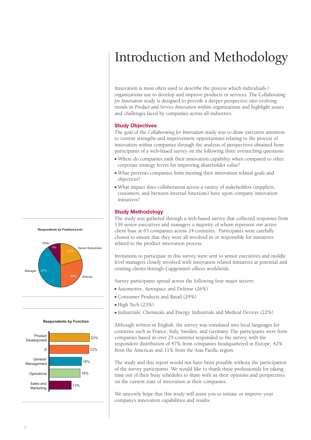# Introduction and Methodology

Innovation is most often used to describe the process which individuals / organizations use to develop and improve products or services. The C*ollaborating for Innovation* study is designed to provide a deeper perspective into evolving trends in *Product and Service Innovation* within organizations and highlight issues and challenges faced by companies across all industries.

#### **Study Objectives**

The goal of the *Collaborating for Innovation* study was to draw executive attention to current strengths and improvement opportunities relating to the process of innovation within companies through the analysis of perspectives obtained from participants of a web-based survey on the following three overarching questions:

- <sup>n</sup> Where do companies rank their innovation capability when compared to other corporate strategy levers for improving shareholder value?
- <sup>n</sup> What prevents companies from meeting their innovation related goals and objectives?
- <sup>n</sup> What impact does collaboration across a variety of stakeholders (suppliers, customers, and between internal functions) have upon company innovation initiatives?

# **Study Methodology**

The study was gathered through a web-based survey that collected responses from 139 senior executives and managers a majority of whom represent our active client base at 63 companies across 24 countries. Participants were carefully chosen to ensure that they were all involved in or responsible for initiatives related to the product innovation process.

Invitations to participate in this survey were sent to senior executives and middle level managers closely involved with innovation related initiatives at potential and existing clients through Capgemini's offices worldwide.

Survey participants spread across the following four major sectors:

- $\blacksquare$  Automotive, Aerospace and Defense (26%)
- <sup>n</sup> Consumer Products and Retail (29%)
- $\blacksquare$  High Tech (23%)
- <sup>n</sup> Industrials: Chemicals and Energy, Industrials and Medical Devices (22%)

Although written in English, the survey was translated into local languages for countries such as France, Italy, Sweden, and Germany. The participants were from companies based in over 25 countries responded to the survey, with the respondent distribution of 47% from companies headquartered in Europe, 42% from the Americas and 11% from the Asia Pacific region.

The study and this report would not have been possible without the participation of the survey participants. We would like to thank these professionals for taking time out of their busy schedules to share with us their opinions and perspectives on the current state of innovation at their companies.

We sincerely hope that this study will assist you to initiate or improve your company's innovation capabilities and results.



**Respondents by Function**

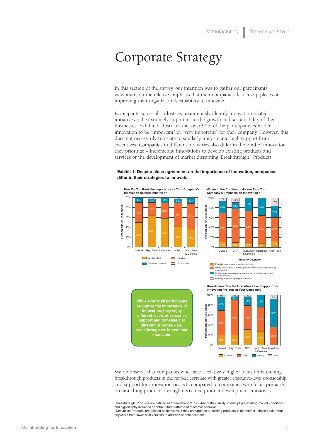# Corporate Strategy

In this section of the survey, our intention was to gather our participants' viewpoints on the relative emphasis that their companies' leadership places on improving their organization's capability to innovate.

Participants across all industries unanimously identify innovation related initiatives to be extremely important to the growth and sustainability of their businesses. Exhibit 1 illustrates that over 90% of the participants consider innovation to be "important" or "very important" for their company. However, this does not necessarily translate to similarly uniform and high support from executives. Companies in different industries also differ in the kind of innovation they prioritize – incremental innovations to develop existing products and services or the development of market disrupting 'Breakthrough'1 Products.

**Exhibit 1: Despite close agreement on the importance of Innovation, companies differ in their strategies to innovate**



**Where in the Continuum do You Rate Your Company's Emphasis on Innovation?**



Mostly market disrupting new products with some improvement of existing products existing products<br>Primarily market disrupting new product

**While almost all participants recognize the importance of innovation, they enjoy different levels of executive support and translate it to different priorities – i.e., breakthrough vs. incremental innovation**

**How do You Rate the Executive Level Suppport for Innovation Projects in Your Company?**



We do observe that companies who have a relatively higher focus on launching breakthrough products in the market correlate with greater executive-level sponsorship and support for innovation projects compared to companies who focus primarily on launching products through derivative product development initiatives.

1 Breakthrough: Products are defined as "breakthrough" by virtue of their ability to disrupt pre-existing market conditions and significantly influence / control future patterns of customer behavior. 2 Derivative: Products are defined as derivative if they are updates to existing products in the market - these could range

anywhere from lower cost versions to add-ons or enhancements.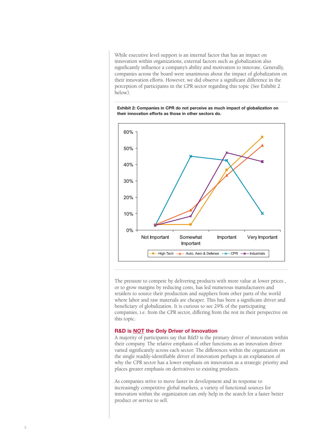While executive level support is an internal factor that has an impact on innovation within organizations, external factors such as globalization also significantly influence a company's ability and motivation to innovate. Generally, companies across the board were unanimous about the impact of globalization on their innovation efforts. However, we did observe a significant difference in the perception of participants in the CPR sector regarding this topic (See Exhibit 2 below).

**Exhibit 2: Companies in CPR do not perceive as much impact of globalization on their innovation efforts as those in other sectors do.**



The pressure to compete by delivering products with more value at lower prices , or to grow margins by reducing costs, has led numerous manufacturers and retailers to source their production and suppliers from other parts of the world where labor and raw materials are cheaper. This has been a significant driver and beneficiary of globalization. It is curious to see 29% of the participating companies, i.e. from the CPR sector, differing from the rest in their perspective on this topic.

#### **R&D is NOT the Only Driver of Innovation**

A majority of participants say that R&D is the primary driver of innovation within their company. The relative emphasis of other functions as an innovation driver varied significantly across each sector. The differences within the organization on the single readily-identifiable driver of innovation perhaps is an explanation of why the CPR sector has a lower emphasis on innovation as a strategic priority and places greater emphasis on derivatives to existing products.

As companies strive to move faster in development and in response to increasingly competitive global markets, a variety of functional sources for innovation within the organization can only help in the search for a faster better product or service to sell.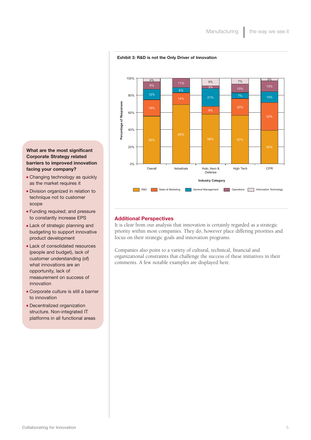

#### **Exhibit 3: R&D is not the Only Driver of Innovation**

### **What are the most significant Corporate Strategy related barriers to improved innovation facing your company?**

- Changing technology as quickly as the market requires it
- **Division organized in relation to** technique not to customer scope
- **Funding required; and pressure** to constantly increase EPS
- **Lack of strategic planning and** budgeting to support innovative product development
- **Lack of consolidated resources** (people and budget), lack of customer understanding (of) what innovations are an opportunity, lack of measurement on success of innovation
- **Exercise Corporate culture is still a barrier** to innovation
- **Decentralized organization** structure. Non-integrated IT platforms in all functional areas

### **Additional Perspectives**

It is clear from our analysis that innovation is certainly regarded as a strategic priority within most companies. They do, however place differing priorities and focus on their strategic goals and innovation programs.

Companies also point to a variety of cultural, technical, financial and organizational constraints that challenge the success of these initiatives in their comments. A few notable examples are displayed here.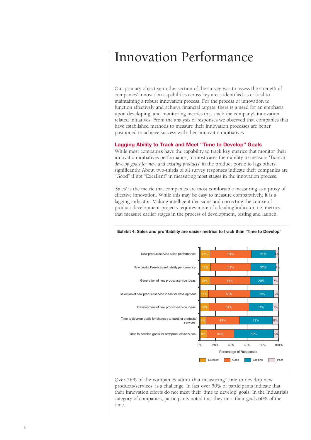# Innovation Performance

Our primary objective in this section of the survey was to assess the strength of companies' innovation capabilities across key areas identified as critical to maintaining a robust innovation process. For the process of innovation to function effectively and achieve financial targets, there is a need for an emphasis upon developing, and monitoring metrics that track the company's innovation related initiatives. From the analysis of responses we observed that companies that have established methods to measure their innovation processes are better positioned to achieve success with their innovation initiatives.

#### **Lagging Ability to Track and Meet "Time to Develop" Goals**

While most companies have the capability to track key metrics that monitor their innovation initiatives performance, in most cases their ability to measure '*Time to develop goals for new and existing products*' in the product portfolio lags others significantly. About two-thirds of all survey responses indicate their companies are "Good" if not "Excellent" in measuring most stages in the innovation process.

'Sales' is the metric that companies are most comfortable measuring as a proxy of effective innovation. While this may be easy to measure comparatively, it is a lagging indicator. Making intelligent decisions and correcting the course of product development projects requires more of a leading indicator, i.e. metrics that measure earlier stages in the process of development, testing and launch.



**Exhibit 4: Sales and profitability are easier metrics to track than 'Time to Develop'**

Over 56% of the companies admit that measuring 'time to develop new products/services' is a challenge. In fact over 50% of participants indicate that their innovation efforts do not meet their 'time to develop' goals. In the Industrials category of companies, participants noted that they miss their goals 60% of the time.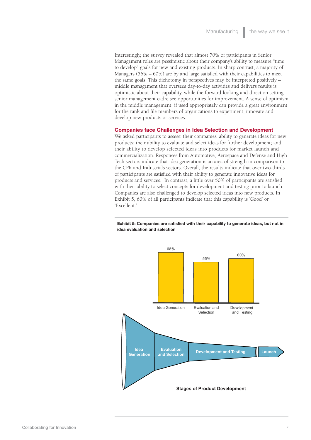Interestingly, the survey revealed that almost 70% of participants in Senior Management roles are pessimistic about their company's ability to measure "time to develop" goals for new and existing products. In sharp contrast, a majority of Managers (56% – 60%) are by and large satisfied with their capabilities to meet the same goals. This dichotomy in perspectives may be interpreted positively – middle management that oversees day-to-day activities and delivers results is optimistic about their capability, while the forward looking and direction setting senior management cadre see opportunities for improvement. A sense of optimism in the middle management, if used appropriately can provide a great environment for the rank and file members of organizations to experiment, innovate and develop new products or services.

### **Companies face Challenges in Idea Selection and Development**

We asked participants to assess: their companies' ability to generate ideas for new products; their ability to evaluate and select ideas for further development; and their ability to develop selected ideas into products for market launch and commercialization. Responses from Automotive, Aerospace and Defense and High Tech sectors indicate that idea generation is an area of strength in comparison to the CPR and Industrials sectors. Overall, the results indicate that over two-thirds of participants are satisfied with their ability to generate innovative ideas for products and services. In contrast, a little over 50% of participants are satisfied with their ability to select concepts for development and testing prior to launch. Companies are also challenged to develop selected ideas into new products. In Exhibit 5, 60% of all participants indicate that this capability is 'Good' or 'Excellent.'



**Exhibit 5: Companies are satisfied with their capability to generate ideas, but not in idea evaluation and selection**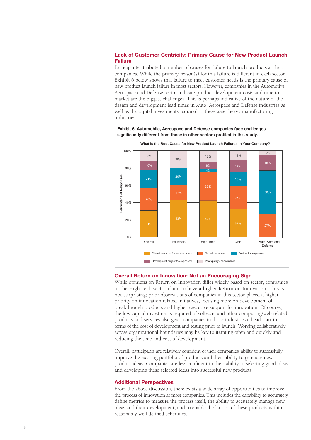## **Lack of Customer Centricity: Primary Cause for New Product Launch Failure**

Participants attributed a number of causes for failure to launch products at their companies. While the primary reason(s) for this failure is different in each sector, Exhibit 6 below shows that failure to meet customer needs is the primary cause of new product launch failure in most sectors. However, companies in the Automotive, Aerospace and Defense sector indicate product development costs and time to market are the biggest challenges. This is perhaps indicative of the nature of the design and development lead times in Auto, Aerospace and Defense industries as well as the capital investments required in these asset heavy manufacturing industries.





### **Overall Return on Innovation: Not an Encouraging Sign**

While opinions on Return on Innovation differ widely based on sector, companies in the High Tech sector claim to have a higher Return on Innovation. This is not surprising; prior observations of companies in this sector placed a higher priority on innovation related initiatives, focusing more on development of breakthrough products and higher executive support for innovation. Of course, the low capital investments required of software and other computing/web related products and services also gives companies in those industries a head start in terms of the cost of development and testing prior to launch. Working collaboratively across organizational boundaries may be key to iterating often and quickly and reducing the time and cost of development.

Overall, participants are relatively confident of their companies' ability to successfully improve the existing portfolio of products and their ability to generate new product ideas. Companies are less confident in their ability to selecting good ideas and developing these selected ideas into successful new products.

#### **Additional Perspectives**

From the above discussion, there exists a wide array of opportunities to improve the process of innovation at most companies. This includes the capability to accurately define metrics to measure the process itself, the ability to accurately manage new ideas and their development, and to enable the launch of these products within reasonably well defined schedules.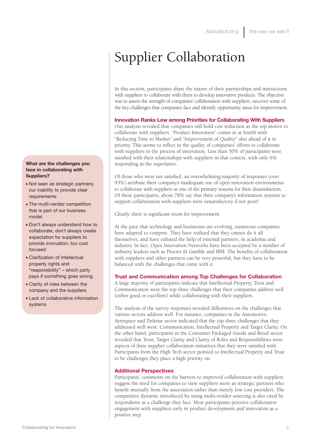# Supplier Collaboration

In this section, participants share the nature of their partnerships and interactions with suppliers to collaborate with them to develop innovative products. The objective was to assess the strength of companies' collaboration with suppliers, uncover some of the key challenges that companies face and identify opportunity areas for improvement.

## **Innovation Ranks Low among Priorities for Collaborating With Suppliers**

Our analysis revealed that companies still hold cost reduction as the top motive to collaborate with suppliers. "Product Innovation" comes in at fourth with "Reducing Time to Market" and "Improvement of Quality" also ahead of it in priority. This seems to reflect in the quality of companies' efforts to collaborate with suppliers in the process of innovation. Less than 50% of participants were satisfied with their relationships with suppliers in that context, with only 6% responding in the superlative.

Of those who were not satisfied, an overwhelming majority of responses (over 93%) attribute their company's inadequate use of open innovation environments to collaborate with suppliers as one of the primary reasons for their dissatisfaction. Of these participants, about 78% say that their company's information systems to support collaboration with suppliers were unsatisfactory if not poor!

Clearly, there is significant room for improvement.

At the pace that technology and businesses are evolving, numerous companies have adapted to compete. They have realized that they cannot do it all themselves, and have enlisted the help of external partners, in academia and industry. In fact, Open Innovation Networks have been accepted by a number of industry leaders such as Procter & Gamble and IBM. The benefits of collaboration with suppliers and other partners can be very powerful, but they have to be balanced with the challenges that come with it.

#### **Trust and Communication among Top Challenges for Collaboration**

A large majority of participants indicate that Intellectual Property, Trust and Communication were the top three challenges that their companies address well (either good or excellent) while collaborating with their suppliers.

The analysis of the survey responses revealed differences on the challenges that various sectors address well. For instance, companies in the Automotive, Aerospace and Defense sector indicated that the top three challenges that they addressed well were: Communication, Intellectual Property and Target Clarity. On the other hand, participants in the Consumer Packaged Goods and Retail sector revealed that Trust, Target Clarity and Clarity of Roles and Responsibilities were aspects of their supplier collaboration initiatives that they were satisfied with. Participants from the High Tech sector pointed to Intellectual Property and Trust to be challenges they place a high priority on.

#### **Additional Perspectives**

Participants' comments on the barriers to improved collaboration with suppliers suggest the need for companies to view suppliers more as strategic partners who benefit mutually from the association rather than merely low cost providers. The competitive dynamic introduced by using multi-vendor sourcing is also cited by respondents as a challenge they face. Most participants perceive collaborative engagement with suppliers early in product development and innovation as a positive step.

#### **What are the challenges you face in collaborating with Suppliers?**

- Not seen as strategic partners; our inability to provide clear requirements
- **The multi-vendor competition** that is part of our business model.
- **Don't always understand how to** collaborate, don't always create expectation for suppliers to provide innovation, too cost focused
- Clarification of intellectual property rights and "responsibility" – which party pays if something goes wrong.
- **Example 2** Clarity of roles between the company and the suppliers
- **Lack of collaborative information** systems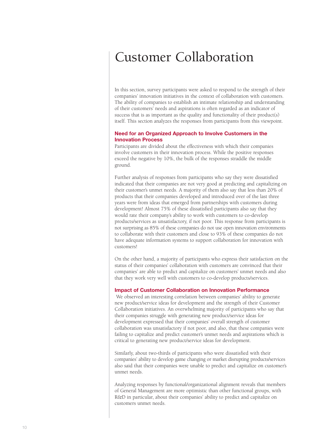# Customer Collaboration

In this section, survey participants were asked to respond to the strength of their companies' innovation initiatives in the context of collaboration with customers. The ability of companies to establish an intimate relationship and understanding of their customers' needs and aspirations is often regarded as an indicator of success that is as important as the quality and functionality of their product(s) itself. This section analyzes the responses from participants from this viewpoint.

#### **Need for an Organized Approach to Involve Customers in the Innovation Process**

Participants are divided about the effectiveness with which their companies involve customers in their innovation process. While the positive responses exceed the negative by 10%, the bulk of the responses straddle the middle ground.

Further analysis of responses from participants who say they were dissatisfied indicated that their companies are not very good at predicting and capitalizing on their customer's unmet needs. A majority of them also say that less than 20% of products that their companies developed and introduced over of the last three years were from ideas that emerged from partnerships with customers during development! Almost 75% of these dissatisfied participants also say that they would rate their company's ability to work with customers to co-develop products/services as unsatisfactory, if not poor. This response from participants is not surprising as 85% of these companies do not use open innovation environments to collaborate with their customers and close to 93% of these companies do not have adequate information systems to support collaboration for innovation with customers!

On the other hand, a majority of participants who express their satisfaction on the status of their companies' collaboration with customers are convinced that their companies' are able to predict and capitalize on customers' unmet needs and also that they work very well with customers to co-develop products/services.

#### **Impact of Customer Collaboration on Innovation Performance**

We observed an interesting correlation between companies' ability to generate new product/service ideas for development and the strength of their Customer Collaboration initiatives. An overwhelming majority of participants who say that their companies struggle with generating new product/service ideas for development expressed that their companies' overall strength of customer collaboration was unsatisfactory if not poor, and also, that these companies were failing to capitalize and predict customer's unmet needs and aspirations which is critical to generating new product/service ideas for development.

Similarly, about two-thirds of participants who were dissatisfied with their companies' ability to develop game changing or market disrupting products/services also said that their companies were unable to predict and capitalize on customer's unmet needs.

Analyzing responses by functional/organizational alignment reveals that members of General Management are more optimistic than other functional groups, with R&D in particular, about their companies' ability to predict and capitalize on customers unmet needs.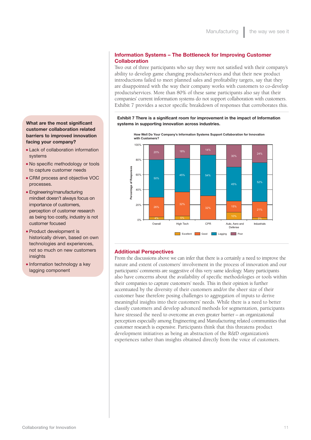### **Collaboration** Two out of three participants who say they were not satisfied with their company's

**Information Systems – The Bottleneck for Improving Customer**

ability to develop game changing products/services and that their new product introductions failed to meet planned sales and profitability targets, say that they are disappointed with the way their company works with customers to co-develop products/services. More than 80% of these same participants also say that their companies' current information systems do not support collaboration with customers. Exhibit 7 provides a sector specific breakdown of responses that corroborates this.

**Exhibit 7 There is a significant room for improvement in the impact of Information systems in supporting innovation across industries.**



**How Well Do Your Company's Information Systems Support Collaboration for Innovation with Customers?**

#### **Additional Perspectives**

From the discussions above we can infer that there is a certainly a need to improve the nature and extent of customers' involvement in the process of innovation and our participants' comments are suggestive of this very same ideology. Many participants also have concerns about the availability of specific methodologies or tools within their companies to capture customers' needs. This in their opinion is further accentuated by the diversity of their customers and/or the sheer size of their customer base therefore posing challenges to aggregation of inputs to derive meaningful insights into their customers' needs. While there is a need to better classify customers and develop advanced methods for segmentation, participants have stressed the need to overcome an even greater barrier – an organizational perception especially among Engineering and Manufacturing related communities that customer research is expensive. Participants think that this threatens product development initiatives as being an abstraction of the R&D organization's experiences rather than insights obtained directly from the voice of customers.

# **What are the most significant customer collaboration related barriers to improved innovation facing your company?**

- **ELack of collaboration information** systems
- No specific methodology or tools to capture customer needs
- **EXTEND PROCESS and objective VOC** processes.
- $E$ n Engineering/manufacturing mindset doesn't always focus on importance of customers, perception of customer research as being too costly, industry is not customer focused
- **Product development is** historically driven, based on own technologies and experiences, not so much on new customers insights
- **n** Information technology a key lagging component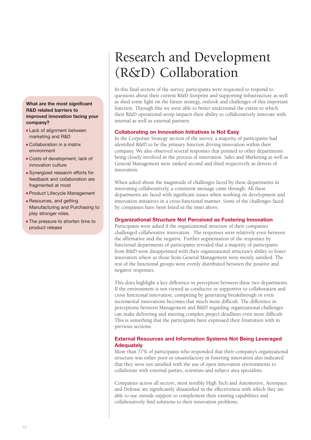## **What are the most significant R&D related barriers to improved innovation facing your company?**

- **Example 1** Lack of alignment between marketing and R&D
- $\blacksquare$  Collaboration in a matrix environment
- <sup>n</sup> Costs of development, lack of innovation culture
- **Exercized research efforts for** feedback and collaboration are fragmented at most
- **Product Lifecycle Management**
- **-** Resources, and getting Manufacturing and Purchasing to play stronger roles.
- The pressure to shorten time to product release

# Research and Development (R&D) Collaboration

In this final section of the survey, participants were requested to respond to questions about their current R&D footprint and supporting infrastructure as well as shed some light on the future strategy, outlook and challenges of this important function. Through this we were able to better understand the extent to which their R&D operational setup impacts their ability to collaboratively innovate with internal as well as external partners.

# **Collaborating on Innovation Initiatives is Not Easy**

In the Corporate Strategy section of the survey, a majority of participants had identified R&D to be the primary function driving innovation within their company. We also observed several responses that pointed to other departments being closely involved in the process of innovation. Sales and Marketing as well as General Management were ranked second and third respectively as drivers of innovation.

When asked about the magnitude of challenges faced by these departments in innovating collaboratively, a consistent message came through: All these departments are faced with significant issues when working on development and innovation initiatives in a cross-functional manner. Some of the challenges faced by companies have been listed in the inset above.

# **Organizational Structure Not Perceived as Fostering Innovation**

Participants were asked if the organizational structure of their companies challenged collaborative innovation. The responses were relatively even between the affirmative and the negative. Further segmentation of the responses by functional departments of participants revealed that a majority of participants from R&D were disappointed with their organizational structure's ability to foster innovation where as those from General Management were mostly satisfied. The rest of the functional groups were evenly distributed between the positive and negative responses.

This does highlight a key difference in perception between these two departments. If the environment is not viewed as conducive or supportive to collaboration and cross functional innovation, competing by generating breakthrough or even incremental innovations becomes that much more difficult. The difference in perceptions between Management and R&D regarding organizational challenges can make delivering and meeting complex project deadlines even more difficult. This is something that the participants have expressed their frustration with in previous sections.

# **External Resources and Information Systems Not Being Leveraged Adequately**

More than 77% of participants who responded that their company's organizational structure was either poor or unsatisfactory in fostering innovation also indicated that they were not satisfied with the use of open innovation environments to collaborate with external parties, scientists and subject area specialists.

Companies across all sectors, most notably High Tech and Automotive, Aerospace and Defense are significantly dissatisfied in the effectiveness with which they are able to use outside support to complement their existing capabilities and collaboratively find solutions to their innovation problems.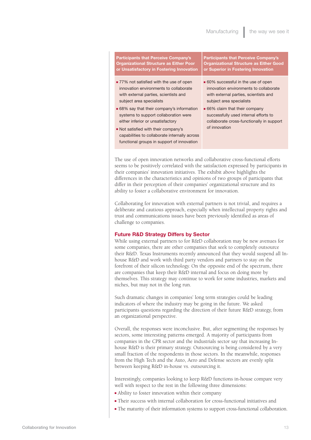**Participants that Perceive Company's Organizational Structure as Either Poor or Unsatisfactory in Fostering Innovation**

- 77% not satisfied with the use of open innovation environments to collaborate with external parties, scientists and subject area specialists
- 68% say that their company's information systems to support collaboration were either inferior or unsatisfactory
- Not satisfied with their company's capabilities to collaborate internally across functional groups in support of innovation

**Participants that Perceive Company's Organizational Structure as Either Good or Superior in Fostering Innovation**

- $\blacksquare$  60% successful in the use of open innovation environments to collaborate with external parties, scientists and subject area specialists
- $\blacksquare$  66% claim that their company successfully used internal efforts to collaborate cross-functionally in support of innovation

The use of open innovation networks and collaborative cross-functional efforts seems to be positively correlated with the satisfaction expressed by participants in their companies' innovation initiatives. The exhibit above highlights the differences in the characteristics and opinions of two groups of participants that differ in their perception of their companies' organizational structure and its ability to foster a collaborative environment for innovation.

Collaborating for innovation with external partners is not trivial, and requires a deliberate and cautious approach, especially when intellectual property rights and trust and communications issues have been previously identified as areas of challenge to companies.

#### **Future R&D Strategy Differs by Sector**

While using external partners to for R&D collaboration may be new avenues for some companies, there are other companies that seek to completely outsource their R&D. Texas Instruments recently announced that they would suspend all Inhouse R&D and work with third party vendors and partners to stay on the forefront of their silicon technology. On the opposite end of the spectrum, there are companies that keep their R&D internal and focus on doing more by themselves. This strategy may continue to work for some industries, markets and niches, but may not in the long run.

Such dramatic changes in companies' long term strategies could be leading indicators of where the industry may be going in the future. We asked participants questions regarding the direction of their future R&D strategy, from an organizational perspective.

Overall, the responses were inconclusive. But, after segmenting the responses by sectors, some interesting patterns emerged. A majority of participants from companies in the CPR sector and the industrials sector say that increasing Inhouse R&D is their primary strategy. Outsourcing is being considered by a very small fraction of the respondents in those sectors. In the meanwhile, responses from the High Tech and the Auto, Aero and Defense sectors are evenly split between keeping R&D in-house vs. outsourcing it.

Interestingly, companies looking to keep R&D functions in-house compare very well with respect to the rest in the following three dimensions:

- $\blacksquare$  Ability to foster innovation within their company
- <sup>n</sup> Their success with internal collaboration for cross-functional initiatives and
- <sup>n</sup> The maturity of their information systems to support cross-functional collaboration.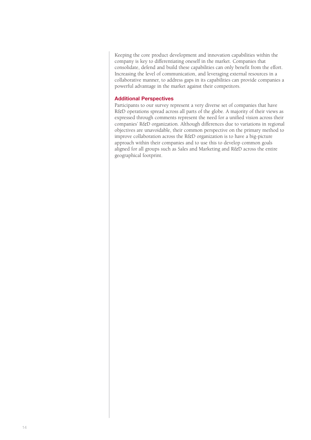Keeping the core product development and innovation capabilities within the company is key to differentiating oneself in the market. Companies that consolidate, defend and build these capabilities can only benefit from the effort. Increasing the level of communication, and leveraging external resources in a collaborative manner, to address gaps in its capabilities can provide companies a powerful advantage in the market against their competitors.

## **Additional Perspectives**

Participants to our survey represent a very diverse set of companies that have R&D operations spread across all parts of the globe. A majority of their views as expressed through comments represent the need for a unified vision across their companies' R&D organization. Although differences due to variations in regional objectives are unavoidable, their common perspective on the primary method to improve collaboration across the R&D organization is to have a big-picture approach within their companies and to use this to develop common goals aligned for all groups such as Sales and Marketing and R&D across the entire geographical footprint.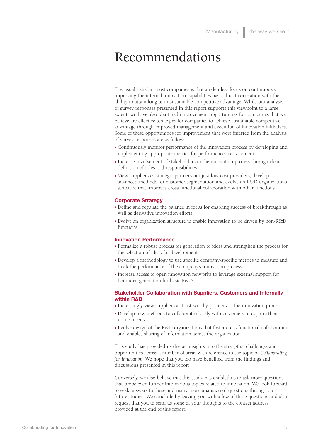# Recommendations

The usual belief in most companies is that a relentless focus on continuously improving the internal innovation capabilities has a direct correlation with the ability to attain long term sustainable competitive advantage. While our analysis of survey responses presented in this report supports this viewpoint to a large extent, we have also identified improvement opportunities for companies that we believe are effective strategies for companies to achieve sustainable competitive advantage through improved management and execution of innovation initiatives. Some of these opportunities for improvement that were inferred from the analysis of survey responses are as follows:

- <sup>n</sup> Continuously monitor performance of the innovation process by developing and implementing appropriate metrics for performance measurement
- <sup>n</sup> Increase involvement of stakeholders in the innovation process through clear definition of roles and responsibilities
- <sup>n</sup> View suppliers as strategic partners not just low-cost providers; develop advanced methods for customer segmentation and evolve an R&D organizational structure that improves cross functional collaboration with other functions

#### **Corporate Strategy**

- <sup>n</sup> Define and regulate the balance in focus for enabling success of breakthrough as well as derivative innovation efforts
- <sup>n</sup> Evolve an organization structure to enable innovation to be driven by non-R&D functions

#### **Innovation Performance**

- <sup>n</sup> Formalize a robust process for generation of ideas and strengthen the process for the selection of ideas for development
- <sup>n</sup> Develop a methodology to use specific company-specific metrics to measure and track the performance of the company's innovation process
- <sup>n</sup> Increase access to open innovation networks to leverage external support for both idea generation for basic R&D

#### **Stakeholder Collaboration with Suppliers, Customers and Internally within R&D**

- <sup>n</sup> Increasingly view suppliers as trust-worthy partners in the innovation process
- <sup>n</sup> Develop new methods to collaborate closely with customers to capture their unmet needs
- <sup>n</sup> Evolve design of the R&D organizations that foster cross-functional collaboration and enables sharing of information across the organization

This study has provided us deeper insights into the strengths, challenges and opportunities across a number of areas with reference to the topic of *Collaborating for Innovation*. We hope that you too have benefited from the findings and discussions presented in this report.

Conversely, we also believe that this study has enabled us to ask more questions that probe even further into various topics related to innovation. We look forward to seek answers to these and many more unanswered questions through our future studies. We conclude by leaving you with a few of these questions and also request that you to send us some of your thoughts to the contact address provided at the end of this report.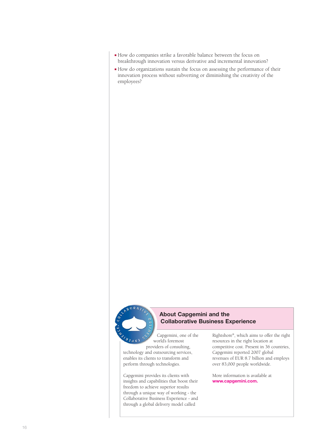- <sup>n</sup> How do companies strike a favorable balance between the focus on breakthrough innovation versus derivative and incremental innovation?
- <sup>n</sup> How do organizations sustain the focus on assessing the performance of their innovation process without subverting or diminishing the creativity of the employees?



# **About Capgemini and the Collaborative Business Experience**

Capgemini, one of the world's foremost providers of consulting,

technology and outsourcing services, enables its clients to transform and perform through technologies.

Capgemini provides its clients with insights and capabilities that boost their freedom to achieve superior results through a unique way of working - the Collaborative Business Experience - and through a global delivery model called

Rightshore®, which aims to offer the right resources in the right location at competitive cost. Present in 36 countries, Capgemini reported 2007 global revenues of EUR 8.7 billion and employs over 83,000 people worldwide.

More information is available at **www.capgemini.com.**